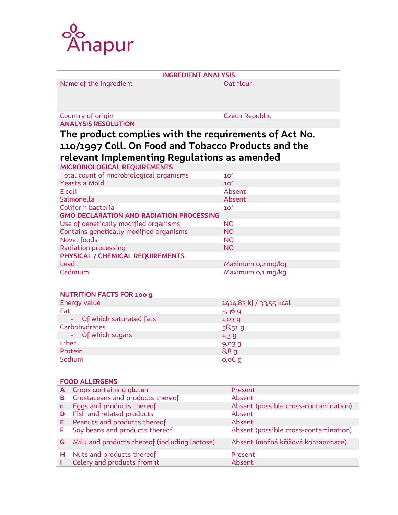

| <b>INGREDIENT ANALYSIS</b>                                                                          |                       |  |  |  |
|-----------------------------------------------------------------------------------------------------|-----------------------|--|--|--|
| Name of the ingredient                                                                              | Oat flour             |  |  |  |
| Country of origin                                                                                   | <b>Czech Republic</b> |  |  |  |
| <b>ANALYSIS RESOLUTION</b>                                                                          |                       |  |  |  |
| The product complies with the requirements of Act No.                                               |                       |  |  |  |
| 110/1997 Coll. On Food and Tobacco Products and the<br>relevant Implementing Regulations as amended |                       |  |  |  |
| MICROBIOLOGICAL REQUIREMENTS                                                                        |                       |  |  |  |
| Total count of microbiological organisms                                                            | 10 <sup>4</sup>       |  |  |  |
| Yeasts a Mold                                                                                       | 10 <sup>4</sup>       |  |  |  |
| E.coli                                                                                              | Absent                |  |  |  |
| Salmonella                                                                                          | Absent                |  |  |  |
| Coliform bacteria                                                                                   | 10 <sup>3</sup>       |  |  |  |
| <b>GMO DECLARATION AND RADIATION PROCESSING</b>                                                     |                       |  |  |  |
| Use of genetically modified organisms                                                               | <b>NO</b>             |  |  |  |
| Contains genetically modified organisms                                                             | <b>NO</b>             |  |  |  |
| Novel foods                                                                                         | <b>NO</b>             |  |  |  |
| Radiation processing                                                                                | <b>NO</b>             |  |  |  |
| PHYSICAL / CHEMICAL REQUIREMENTS                                                                    |                       |  |  |  |
| Lead                                                                                                | Maximum o,2 mg/kg     |  |  |  |
| Cadmium                                                                                             | Maximum 0,1 mg/kg     |  |  |  |

| <b>NUTRITION FACTS FOR 100 g</b> |                         |
|----------------------------------|-------------------------|
| Energy value                     | 1414,83 kJ / 33,55 kcal |
| Fat                              | $5,36$ g                |
| - Of which saturated fats        | 1,03,9                  |
| Carbohydrates                    | 58,519                  |
| - Of which sugars                | 1,39                    |
| Fiber                            | $9,03$ g                |
| Protein                          | 8,8,9                   |
| Sodium                           | $0,06$ g                |

| <b>FOOD ALLERGENS</b> |                                               |                                       |  |
|-----------------------|-----------------------------------------------|---------------------------------------|--|
| A                     | Crops containing gluten                       | Present                               |  |
| в                     | Crustaceans and products thereof              | Absent                                |  |
|                       | Eggs and products thereof                     | Absent (possible cross-contamination) |  |
| D                     | Fish and related products                     | Absent                                |  |
| Е.                    | Peanuts and products thereof                  | Absent                                |  |
| F                     | Soy beans and products thereof                | Absent (possible cross-contamination) |  |
| G                     | Milk and products thereof (including lactose) | Absent (možná křížová kontaminace)    |  |
| н                     | Nuts and products thereof                     | Present                               |  |
|                       | Celery and products from it                   | Absent                                |  |